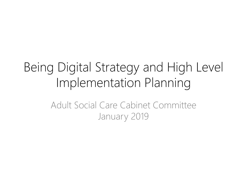# Being Digital Strategy and High Level Implementation Planning

Adult Social Care Cabinet CommitteeJanuary 2019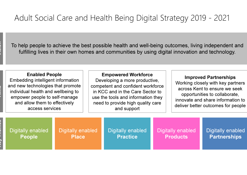Vision

To help people to achieve the best possible health and well-being outcomes, living independent and fulfilling lives in their own homes and communities by using digital innovation and technology.

**Embedding intelligent information<br>and new technologies that promote<br>individual health and wellbeing to<br>empower people to self-manage** and allow them to effectively access services

Empowered Workforce Developing a more productive, competent and confident workforce in KCC and in the Care Sector to use the tools and information they need to provide high quality care and support

#### Improved Partnerships

 Working closely with key partners across Kent to ensure we seek opportunities to collaborate, innovate and share information to deliver better outcomes for people

| Digitally enabled | Digitally enabled | Digitally enabled | Digitally enabled | Digitally enabled   |
|-------------------|-------------------|-------------------|-------------------|---------------------|
| <b>People</b>     | <b>Place</b>      | <b>Practice</b>   | <b>Products</b>   | <b>Partnerships</b> |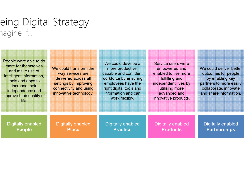# eing Digital Strategy nagine if…

| People were able to do<br>more for themselves<br>and make use of<br>intelligent information,<br>tools and apps to<br>increase their<br>independence and<br>improve their quality of<br>life. | We could transform the<br>way services are<br>delivered across all<br>settings by improving<br>connectivity and using<br>innovative technology. | We could develop a<br>more productive,<br>capable and confident<br>workforce by ensuring<br>employees have the<br>right digital tools and<br>information and can<br>work flexibly. | Service users were<br>empowered and<br>enabled to live more<br>fulfilling and<br>independent lives by<br>utilising more<br>advanced and<br>innovative products. | We could deliver better<br>outcomes for people<br>by enabling key<br>partners to more easily<br>collaborate, innovate<br>and share information. |
|----------------------------------------------------------------------------------------------------------------------------------------------------------------------------------------------|-------------------------------------------------------------------------------------------------------------------------------------------------|------------------------------------------------------------------------------------------------------------------------------------------------------------------------------------|-----------------------------------------------------------------------------------------------------------------------------------------------------------------|-------------------------------------------------------------------------------------------------------------------------------------------------|
| Digitally enabled                                                                                                                                                                            | <b>Digitally enabled</b>                                                                                                                        | Digitally enabled                                                                                                                                                                  | Digitally enabled                                                                                                                                               | <b>Digitally enabled</b>                                                                                                                        |
| <b>People</b>                                                                                                                                                                                | <b>Place</b>                                                                                                                                    | <b>Practice</b>                                                                                                                                                                    | <b>Products</b>                                                                                                                                                 | <b>Partnerships</b>                                                                                                                             |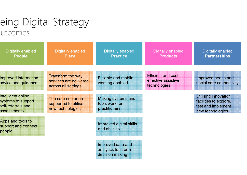## eing Digital Strategy utcomes

| <b>Digitally enabled</b><br><b>People</b>                                     | <b>Digitally enabled</b><br><b>Place</b>                                  | <b>Digitally enabled</b><br><b>Practice</b>                 | <b>Digitally enabled</b><br><b>Products</b>                       | <b>Digitally enabled</b><br><b>Partnerships</b>                                                 |
|-------------------------------------------------------------------------------|---------------------------------------------------------------------------|-------------------------------------------------------------|-------------------------------------------------------------------|-------------------------------------------------------------------------------------------------|
| <b>Improved information</b><br>advice and guidance                            | <b>Transform the way</b><br>services are delivered<br>across all settings | <b>Flexible and mobile</b><br>working enabled               | <b>Efficient and cost-</b><br>effective assistive<br>technologies | Improved health and<br>social care connectivity                                                 |
| Intelligent online<br>systems to support<br>self-referrals and<br>assessments | The care sector are<br>supported to utilise<br>new technologies           | Making systems and<br>tools work for<br>practitioners       |                                                                   | <b>Utilising innovation</b><br>facilities to explore,<br>test and implement<br>new technologies |
| Apps and tools to<br>support and connect<br>people                            |                                                                           | Improved digital skills<br>and abilities                    |                                                                   |                                                                                                 |
|                                                                               |                                                                           | Improved data and<br>analytics to inform<br>decision making |                                                                   |                                                                                                 |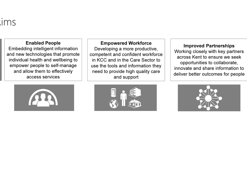# ims

#### Enabled People

 Embedding intelligent information and new technologies that promote individual health and wellbeing to empower people to self-manage and allow them to effectively access services



#### Empowered Workforce

 Developing a more productive, competent and confident workforce in KCC and in the Care Sector to use the tools and information they need to provide high quality care and support



#### Improved Partnerships

 Working closely with key partners across Kent to ensure we seek opportunities to collaborate, innovate and share information to deliver better outcomes for people

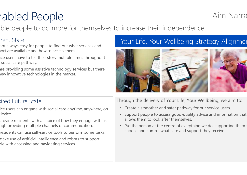# abled People

ble people to do more for themselves to increase their independence e Aim Narrative Aim Narrative Aim Narrative Aim Narrative Aim Narrative Aim Narrative Aim Narrative Aim Narrative Aim Narrative Aim Narrative Aim Narrative Aim Narrative Aim Narrative Aim Narrative Aim Narrative Aim Narrat

#### rent State

ort are available and how to access them.

ice users have to tell their story multiple times throughout social care pathway.

are providing some assistive technology services but there new innovative technologies in the market.

## Tent State<br>not always easy for people to find out what services and **Interpret in the Vielland Strategy Alignme**r



### sired Future State

ice users can engage with social care anytime, anywhere, on device.

- provide residents with a choice of how they engage with us ugh providing multiple channels of communication.
- residents can use self-service tools to perform some tasks.
- nake use of artificial intelligence and robots to support ble with accessing and navigating services.

#### Through the delivery of Your Life, Your Wellbeing, we aim to:

- Create a smoother and safer pathway for our service users.
- Support people to access good-quality advice and information that allows them to look after themselves.
- $\bullet$ Put the person at the centre of everything we do, supporting them choose and control what care and support they receive.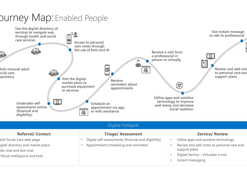#### Use the digital directory of Use instant message services to navigate way to talk to professional through health and social care services Access to personal care notes through the use of bots and AIReceive a visit from 圓 a professional in person or virtually直 Multi-channel adult 39 Review and add not  $\overline{5}$ to personal care and ocial care support plans repository Visit the digital Receive market place to  $\odot$  reminders about purchase equipment appointmentsor servicesUtilise apps and assistive 值 technology to improve Undertake self-Schedule an well-being and decrease assessments online appointment via app, social-isolation(financial and or with assistance 2 eligibility)Digital HotspotsReferral/ ContactService/ ReviewTriage/ Assessmentdult Social Care web-page Digital self-assessments (financial and eligibility) • Utilise apps and assistive technology•igital directory and market place Appointment scheduling and reminders Review and add notes to personal care and ••support planseb-chat and bot-chat Digital Service – Virtualise a visit Artificial intelligence and bots• Instant messaging •

## **Durney Map: Enabled People**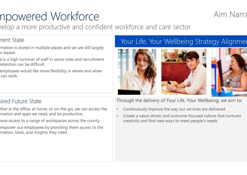# npowered Workforce

relop a more productive and confident workforce and care sector e<br>Aim Narrative<br>Sident werkfaree and sare sector

### rent State

- mation is stored in multiple places and we are still largely er-based.
- e is a high turnover of staff in some roles and recruitment retention can be difficult.
- employees would like more flexibility in where and when can work.

### Your Life, Your Wellbeing Strategy Alignment



### sired Future State

- ther in the office, at home, or on-the-go, we can access the mation and apps we need, and be productive.
- have access to a range of workspaces across the county.
- empower our employees by providing them access to the mation, tools, and insights they need.

#### Through the delivery of Your Life, Your Wellbeing, we aim to:

- •Continuously improve the way our services are delivered
- • Create a value-driven and outcome-focused culture that nurtures creativity and find new ways to meet people's needs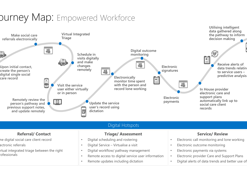# **DUrney Map:** Empowered Workforce



•Remote access to digital service user information

•

Digital alerts of data trends and better use of

•Remote updates including dictation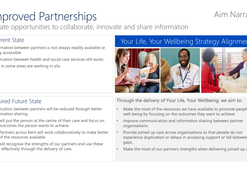# **Inproved Partnerships**

ate opportunities to collaborate, innovate and share information

### rent State

- mation between partners is not always readily available or y accessible
- lication between health and social care services still exists
- in some areas are working in silo

### Your Life, Your Wellbeing Strategy Alignment



### sired Future State

- lication between partners will be reduced through better mation sharing.
- will put the person at the centre of their care and focus on butcomes the person wants to achieve.
- Partners across Kent will work collaboratively to make better of the resources available.
- will recognise the strengths of our partners and use these seffectively through the delivery of care.

#### Through the delivery of Your Life, Your Wellbeing, we aim to:

- •Make the most of the resources we have available to promote people well-being by focusing on the outcomes they want to achieve.
- • Improve communication and information sharing between partner organisations
- • Provide joined up care across organisations so that people do not experience duplication or delays in accessing support or fall between gaps.
- •Make the most of our partners strengths when delivering joined up

# S<sub>.</sub> Aim Narrative Aim Narrative Aim Narrative Aim Narrative Aim Narrative Aim Narrative Aim Narrative Aim Narrative Aim Narrative Aim Narrative Aim Narrative Aim Narrative Aim Narrative Aim Narrative Aim Narrative Aim Nar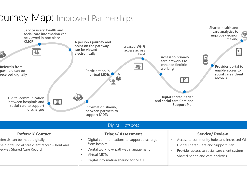# **DUINEY Map: Improved Partnerships**

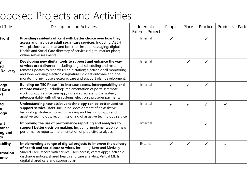# oposed Projects and Activities

| ct Title                          | <b>Description and Activities</b>                                                                                                                                                                                                                                                                                                                       | Internal /<br><b>External Project</b> | People       | Place | Practice     | Products | Partn |
|-----------------------------------|---------------------------------------------------------------------------------------------------------------------------------------------------------------------------------------------------------------------------------------------------------------------------------------------------------------------------------------------------------|---------------------------------------|--------------|-------|--------------|----------|-------|
| Front                             | Providing residents of Kent with better choice over how they<br>access and navigate adult social care services. Including: ASCH<br>web-platform; web-chat and bot-chat; instant messaging; digital<br>Health and Social Care directory of services; digital market place;<br>online self-assessments                                                    | Internal                              | $\checkmark$ |       | $\checkmark$ |          |       |
| .d<br><b>Delivery</b>             | Developing new digital tools to support and enhance the way<br>services are delivered. Including: digital scheduling and rostering;<br>remote updates to records using dictation; electronic call monitoring<br>and lone working; electronic signatures, digital outcome and goal<br>monitoring; in-house electronic care and support plan development. | Internal                              |              |       | $\checkmark$ |          |       |
| ogy<br><b>Care</b><br>2)          | Building on TEC Phase 1 to increase access, interoperability and<br>remote working. Including: implementation of portals; remote<br>working app; service user app; increased access to the system;<br>interoperability with other systems; electronic provider payments                                                                                 | Internal                              | ✓            |       |              |          |       |
| hg<br>logy                        | Understanding how assistive technology can be better used to<br>support service users. Including: development of an assistive<br>technology strategy; horizon scanning and testing of apps and<br>assistive technology; recommissioning of assistive technology service                                                                                 | Internal                              | $\checkmark$ |       |              |          |       |
| ent<br>hance<br>ng and<br>CS.     | Improving the use of performance reporting and analytics to<br>support better decision making. Including: implementation of new<br>performance reports; implementation of predictive analytics                                                                                                                                                          | Internal                              |              |       | $\checkmark$ |          |       |
| ability<br><b>Irmation</b><br>nme | Implementing a range of digital projects to improve the delivery<br>of health and social care services. Including: Kent and Medway<br>Shared Care Record with service users access; carers app; electronic<br>discharge notices, shared health and care analytics; Virtual MDTs;<br>digital shared care and support plan                                | External                              | $\checkmark$ | ✓     | $\checkmark$ |          |       |